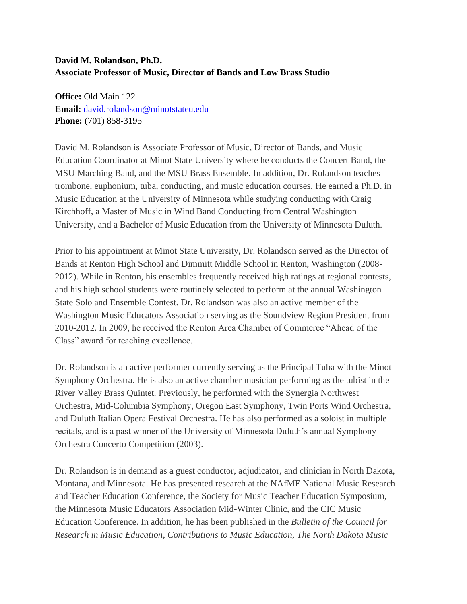## **David M. Rolandson, Ph.D. Associate Professor of Music, Director of Bands and Low Brass Studio**

**Office:** Old Main 122 **Email:** [david.rolandson@minotstateu.edu](mailto:david.rolandson@minotstateu.edu) **Phone:** (701) 858-3195

David M. Rolandson is Associate Professor of Music, Director of Bands, and Music Education Coordinator at Minot State University where he conducts the Concert Band, the MSU Marching Band, and the MSU Brass Ensemble. In addition, Dr. Rolandson teaches trombone, euphonium, tuba, conducting, and music education courses. He earned a Ph.D. in Music Education at the University of Minnesota while studying conducting with Craig Kirchhoff, a Master of Music in Wind Band Conducting from Central Washington University, and a Bachelor of Music Education from the University of Minnesota Duluth.

Prior to his appointment at Minot State University, Dr. Rolandson served as the Director of Bands at Renton High School and Dimmitt Middle School in Renton, Washington (2008- 2012). While in Renton, his ensembles frequently received high ratings at regional contests, and his high school students were routinely selected to perform at the annual Washington State Solo and Ensemble Contest. Dr. Rolandson was also an active member of the Washington Music Educators Association serving as the Soundview Region President from 2010-2012. In 2009, he received the Renton Area Chamber of Commerce "Ahead of the Class" award for teaching excellence.

Dr. Rolandson is an active performer currently serving as the Principal Tuba with the Minot Symphony Orchestra. He is also an active chamber musician performing as the tubist in the River Valley Brass Quintet. Previously, he performed with the Synergia Northwest Orchestra, Mid-Columbia Symphony, Oregon East Symphony, Twin Ports Wind Orchestra, and Duluth Italian Opera Festival Orchestra. He has also performed as a soloist in multiple recitals, and is a past winner of the University of Minnesota Duluth's annual Symphony Orchestra Concerto Competition (2003).

Dr. Rolandson is in demand as a guest conductor, adjudicator, and clinician in North Dakota, Montana, and Minnesota. He has presented research at the NAfME National Music Research and Teacher Education Conference, the Society for Music Teacher Education Symposium, the Minnesota Music Educators Association Mid-Winter Clinic, and the CIC Music Education Conference. In addition, he has been published in the *Bulletin of the Council for Research in Music Education, Contributions to Music Education, The North Dakota Music*